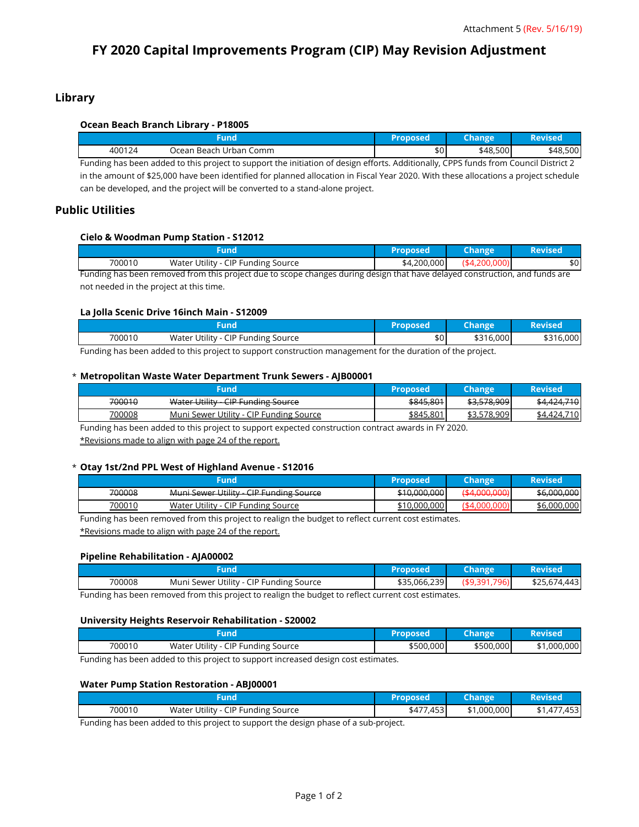# **FY 2020 Capital Improvements Program (CIP) May Revision Adjustment**

# **Library**

# **Ocean Beach Branch Library - P18005**

| und    |                        | Proposed         | <b>Change</b> | Revised  |
|--------|------------------------|------------------|---------------|----------|
| 400124 | Ocean Beach Urban Comm | \$0 <sub>1</sub> | \$48,500      | \$48,500 |

Funding has been added to this project to support the initiation of design efforts. Additionally, CPPS funds from Council District 2 in the amount of \$25,000 have been identified for planned allocation in Fiscal Year 2020. With these allocations a project schedule can be developed, and the project will be converted to a stand-alone project.

# **Public Utilities**

## **Cielo & Woodman Pump Station - S12012**

|        | Fund                                                                                                                        | <b>Proposed</b> | <b>Change</b> | <b>Revised</b> |
|--------|-----------------------------------------------------------------------------------------------------------------------------|-----------------|---------------|----------------|
| 700010 | Water Utility - CIP Funding Source                                                                                          | \$4,200,000     | (\$4,200,000) | \$0            |
|        | Funding has been removed from this project due to scope changes during design that have delayed construction, and funds are |                 |               |                |

not needed in the project at this time.

## **La Jolla Scenic Drive 16inch Main - S12009**

| <b>IMA</b>                                |                                       | roposed? | Change    | Revised   |
|-------------------------------------------|---------------------------------------|----------|-----------|-----------|
| 700010                                    | Water Utility -<br>CIP Funding Source | \$0      | \$316,000 | \$316,000 |
| $\sim$ $\sim$<br>the property of the con- |                                       |          |           |           |

Funding has been added to this project to support construction management for the duration of the project.

# \* **Metropolitan Waste Water Department Trunk Sewers - AJB00001**

|        | Fund                                    | Proposed  | <b>Change</b>      | Revised                       |
|--------|-----------------------------------------|-----------|--------------------|-------------------------------|
| 700010 | Water Utility<br>- CIP Funding Source   | \$845,801 | \$3,578,909        | 71 N<br>4. <del>, , , v</del> |
| 700008 | Muni Sewer Utility - CIP Funding Source | \$845,801 | .578.909<br>\$3.5, | 710<br>\$4 424                |

Funding has been added to this project to support expected construction contract awards in FY 2020.

\*Revisions made to align with page 24 of the report.

### \* **Otay 1st/2nd PPL West of Highland Avenue - S12016**

|        | Fund                                    | Proposed                                                                                                                                                                                                                       | Change'      | <b>Revised</b> |
|--------|-----------------------------------------|--------------------------------------------------------------------------------------------------------------------------------------------------------------------------------------------------------------------------------|--------------|----------------|
| 700008 | Muni Sewer Utility - CIP Funding Source | \$10,000,000                                                                                                                                                                                                                   | (44,000,000) | \$6,000,000    |
| 700010 | Water Utility - CIP Funding Source      | \$10,000,000                                                                                                                                                                                                                   | ′\$4         | \$6,000,000    |
|        | .<br>.<br>$\sim$                        | and the contract of the contract of the contract of the contract of the contract of the contract of the contract of the contract of the contract of the contract of the contract of the contract of the contract of the contra |              |                |

Funding has been removed from this project to realign the budget to reflect current cost estimates.

\*Revisions made to align with page 24 of the report.

# **Pipeline Rehabilitation - AJA00002**

| und                                               | 'Proposed    | <b>Change</b>            | Revised      |
|---------------------------------------------------|--------------|--------------------------|--------------|
| Muni Sewer Utility - CIP Funding Source<br>700008 | \$35,066,239 | $($ \$9,391, $)$<br>796) | \$25,674,443 |

Funding has been removed from this project to realign the budget to reflect current cost estimates.

### **University Heights Reservoir Rehabilitation - S20002**

| und    |                                    | Proposed  | Change    | Revised     |
|--------|------------------------------------|-----------|-----------|-------------|
| 700010 | Water Utility - CIP Funding Source | \$500,000 | \$500,000 | \$1,000,000 |

Funding has been added to this project to support increased design cost estimates.

### **Water Pump Station Restoration - ABJ00001**

| 700010                   | Water Utility -<br>CIP Funding Source | ,453 <br>$1 - 1$ | \$1,000,000 | $1 - 2$<br>453. |
|--------------------------|---------------------------------------|------------------|-------------|-----------------|
| $\overline{\phantom{0}}$ | .                                     |                  |             |                 |

Funding has been added to this project to support the design phase of a sub-project.